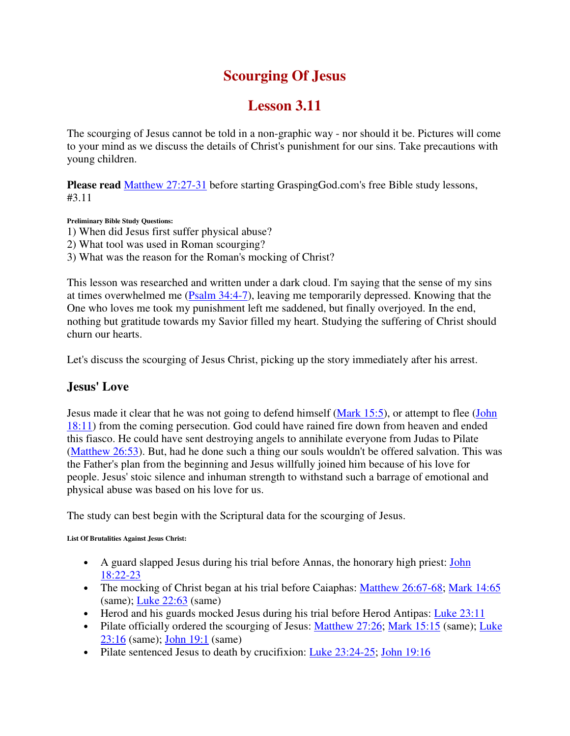# **Scourging Of Jesus**

# **Lesson 3.11**

The scourging of Jesus cannot be told in a non-graphic way - nor should it be. Pictures will come to your mind as we discuss the details of Christ's punishment for our sins. Take precautions with young children.

**Please read** Matthew 27:27-31 before starting GraspingGod.com's free Bible study lessons, #3.11

**Preliminary Bible Study Questions:**

- 1) When did Jesus first suffer physical abuse?
- 2) What tool was used in Roman scourging?
- 3) What was the reason for the Roman's mocking of Christ?

This lesson was researched and written under a dark cloud. I'm saying that the sense of my sins at times overwhelmed me (Psalm 34:4-7), leaving me temporarily depressed. Knowing that the One who loves me took my punishment left me saddened, but finally overjoyed. In the end, nothing but gratitude towards my Savior filled my heart. Studying the suffering of Christ should churn our hearts.

Let's discuss the scourging of Jesus Christ, picking up the story immediately after his arrest.

#### **Jesus' Love**

Jesus made it clear that he was not going to defend himself (Mark 15:5), or attempt to flee (John 18:11) from the coming persecution. God could have rained fire down from heaven and ended this fiasco. He could have sent destroying angels to annihilate everyone from Judas to Pilate (Matthew 26:53). But, had he done such a thing our souls wouldn't be offered salvation. This was the Father's plan from the beginning and Jesus willfully joined him because of his love for people. Jesus' stoic silence and inhuman strength to withstand such a barrage of emotional and physical abuse was based on his love for us.

The study can best begin with the Scriptural data for the scourging of Jesus.

**List Of Brutalities Against Jesus Christ:**

- A guard slapped Jesus during his trial before Annas, the honorary high priest: John 18:22-23
- The mocking of Christ began at his trial before Caiaphas: Matthew 26:67-68; Mark 14:65 (same); Luke 22:63 (same)
- Herod and his guards mocked Jesus during his trial before Herod Antipas: Luke 23:11
- Pilate officially ordered the scourging of Jesus: Matthew 27:26; Mark 15:15 (same); Luke 23:16 (same); John 19:1 (same)
- Pilate sentenced Jesus to death by crucifixion: Luke 23:24-25; John 19:16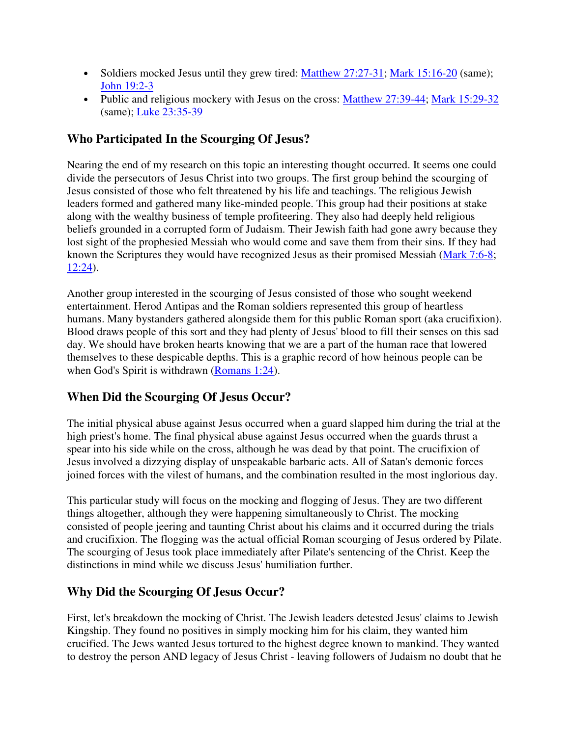- Soldiers mocked Jesus until they grew tired: Matthew 27:27-31; Mark 15:16-20 (same); John 19:2-3
- Public and religious mockery with Jesus on the cross: Matthew 27:39-44; Mark 15:29-32 (same); Luke 23:35-39

### **Who Participated In the Scourging Of Jesus?**

Nearing the end of my research on this topic an interesting thought occurred. It seems one could divide the persecutors of Jesus Christ into two groups. The first group behind the scourging of Jesus consisted of those who felt threatened by his life and teachings. The religious Jewish leaders formed and gathered many like-minded people. This group had their positions at stake along with the wealthy business of temple profiteering. They also had deeply held religious beliefs grounded in a corrupted form of Judaism. Their Jewish faith had gone awry because they lost sight of the prophesied Messiah who would come and save them from their sins. If they had known the Scriptures they would have recognized Jesus as their promised Messiah (Mark 7:6-8; 12:24).

Another group interested in the scourging of Jesus consisted of those who sought weekend entertainment. Herod Antipas and the Roman soldiers represented this group of heartless humans. Many bystanders gathered alongside them for this public Roman sport (aka crucifixion). Blood draws people of this sort and they had plenty of Jesus' blood to fill their senses on this sad day. We should have broken hearts knowing that we are a part of the human race that lowered themselves to these despicable depths. This is a graphic record of how heinous people can be when God's Spirit is withdrawn (Romans 1:24).

## **When Did the Scourging Of Jesus Occur?**

The initial physical abuse against Jesus occurred when a guard slapped him during the trial at the high priest's home. The final physical abuse against Jesus occurred when the guards thrust a spear into his side while on the cross, although he was dead by that point. The crucifixion of Jesus involved a dizzying display of unspeakable barbaric acts. All of Satan's demonic forces joined forces with the vilest of humans, and the combination resulted in the most inglorious day.

This particular study will focus on the mocking and flogging of Jesus. They are two different things altogether, although they were happening simultaneously to Christ. The mocking consisted of people jeering and taunting Christ about his claims and it occurred during the trials and crucifixion. The flogging was the actual official Roman scourging of Jesus ordered by Pilate. The scourging of Jesus took place immediately after Pilate's sentencing of the Christ. Keep the distinctions in mind while we discuss Jesus' humiliation further.

## **Why Did the Scourging Of Jesus Occur?**

First, let's breakdown the mocking of Christ. The Jewish leaders detested Jesus' claims to Jewish Kingship. They found no positives in simply mocking him for his claim, they wanted him crucified. The Jews wanted Jesus tortured to the highest degree known to mankind. They wanted to destroy the person AND legacy of Jesus Christ - leaving followers of Judaism no doubt that he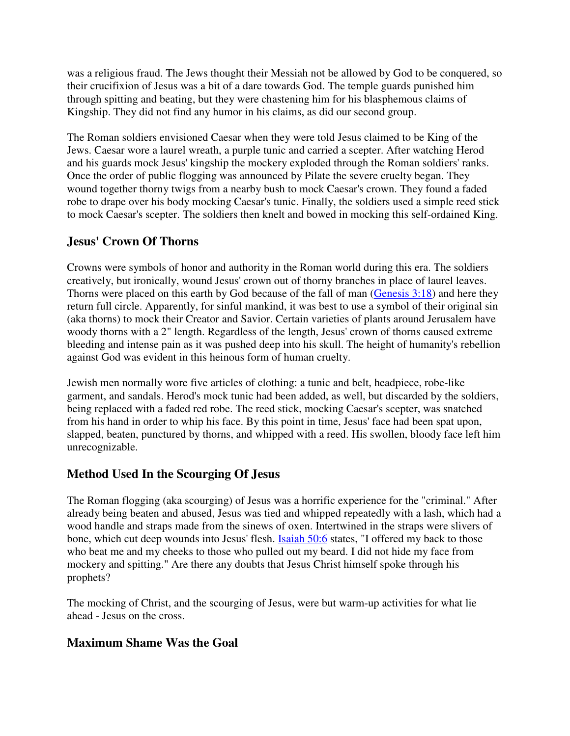was a religious fraud. The Jews thought their Messiah not be allowed by God to be conquered, so their crucifixion of Jesus was a bit of a dare towards God. The temple guards punished him through spitting and beating, but they were chastening him for his blasphemous claims of Kingship. They did not find any humor in his claims, as did our second group.

The Roman soldiers envisioned Caesar when they were told Jesus claimed to be King of the Jews. Caesar wore a laurel wreath, a purple tunic and carried a scepter. After watching Herod and his guards mock Jesus' kingship the mockery exploded through the Roman soldiers' ranks. Once the order of public flogging was announced by Pilate the severe cruelty began. They wound together thorny twigs from a nearby bush to mock Caesar's crown. They found a faded robe to drape over his body mocking Caesar's tunic. Finally, the soldiers used a simple reed stick to mock Caesar's scepter. The soldiers then knelt and bowed in mocking this self-ordained King.

### **Jesus' Crown Of Thorns**

Crowns were symbols of honor and authority in the Roman world during this era. The soldiers creatively, but ironically, wound Jesus' crown out of thorny branches in place of laurel leaves. Thorns were placed on this earth by God because of the fall of man (Genesis 3:18) and here they return full circle. Apparently, for sinful mankind, it was best to use a symbol of their original sin (aka thorns) to mock their Creator and Savior. Certain varieties of plants around Jerusalem have woody thorns with a 2" length. Regardless of the length, Jesus' crown of thorns caused extreme bleeding and intense pain as it was pushed deep into his skull. The height of humanity's rebellion against God was evident in this heinous form of human cruelty.

Jewish men normally wore five articles of clothing: a tunic and belt, headpiece, robe-like garment, and sandals. Herod's mock tunic had been added, as well, but discarded by the soldiers, being replaced with a faded red robe. The reed stick, mocking Caesar's scepter, was snatched from his hand in order to whip his face. By this point in time, Jesus' face had been spat upon, slapped, beaten, punctured by thorns, and whipped with a reed. His swollen, bloody face left him unrecognizable.

## **Method Used In the Scourging Of Jesus**

The Roman flogging (aka scourging) of Jesus was a horrific experience for the "criminal." After already being beaten and abused, Jesus was tied and whipped repeatedly with a lash, which had a wood handle and straps made from the sinews of oxen. Intertwined in the straps were slivers of bone, which cut deep wounds into Jesus' flesh. Isaiah 50:6 states, "I offered my back to those who beat me and my cheeks to those who pulled out my beard. I did not hide my face from mockery and spitting." Are there any doubts that Jesus Christ himself spoke through his prophets?

The mocking of Christ, and the scourging of Jesus, were but warm-up activities for what lie ahead - Jesus on the cross.

## **Maximum Shame Was the Goal**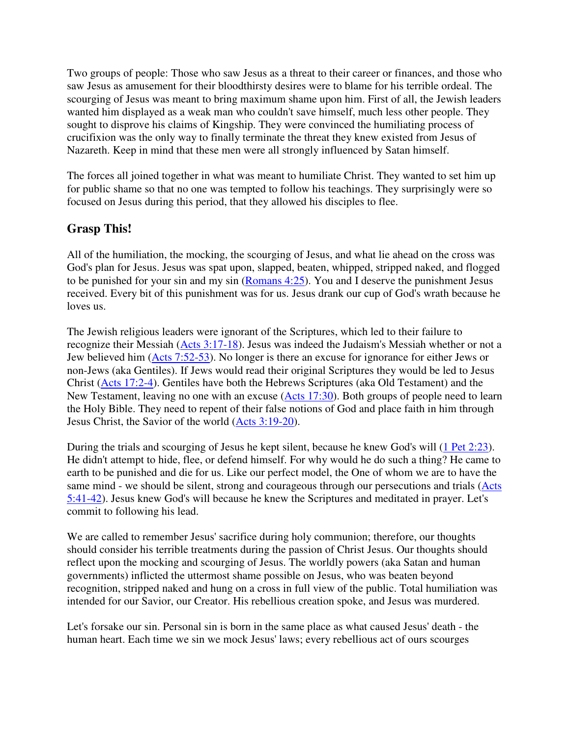Two groups of people: Those who saw Jesus as a threat to their career or finances, and those who saw Jesus as amusement for their bloodthirsty desires were to blame for his terrible ordeal. The scourging of Jesus was meant to bring maximum shame upon him. First of all, the Jewish leaders wanted him displayed as a weak man who couldn't save himself, much less other people. They sought to disprove his claims of Kingship. They were convinced the humiliating process of crucifixion was the only way to finally terminate the threat they knew existed from Jesus of Nazareth. Keep in mind that these men were all strongly influenced by Satan himself.

The forces all joined together in what was meant to humiliate Christ. They wanted to set him up for public shame so that no one was tempted to follow his teachings. They surprisingly were so focused on Jesus during this period, that they allowed his disciples to flee.

#### **Grasp This!**

All of the humiliation, the mocking, the scourging of Jesus, and what lie ahead on the cross was God's plan for Jesus. Jesus was spat upon, slapped, beaten, whipped, stripped naked, and flogged to be punished for your sin and my sin (Romans 4:25). You and I deserve the punishment Jesus received. Every bit of this punishment was for us. Jesus drank our cup of God's wrath because he loves us.

The Jewish religious leaders were ignorant of the Scriptures, which led to their failure to recognize their Messiah (Acts 3:17-18). Jesus was indeed the Judaism's Messiah whether or not a Jew believed him (Acts 7:52-53). No longer is there an excuse for ignorance for either Jews or non-Jews (aka Gentiles). If Jews would read their original Scriptures they would be led to Jesus Christ (Acts 17:2-4). Gentiles have both the Hebrews Scriptures (aka Old Testament) and the New Testament, leaving no one with an excuse (Acts 17:30). Both groups of people need to learn the Holy Bible. They need to repent of their false notions of God and place faith in him through Jesus Christ, the Savior of the world (Acts 3:19-20).

During the trials and scourging of Jesus he kept silent, because he knew God's will (1 Pet 2:23). He didn't attempt to hide, flee, or defend himself. For why would he do such a thing? He came to earth to be punished and die for us. Like our perfect model, the One of whom we are to have the same mind - we should be silent, strong and courageous through our persecutions and trials (Acts 5:41-42). Jesus knew God's will because he knew the Scriptures and meditated in prayer. Let's commit to following his lead.

We are called to remember Jesus' sacrifice during holy communion; therefore, our thoughts should consider his terrible treatments during the passion of Christ Jesus. Our thoughts should reflect upon the mocking and scourging of Jesus. The worldly powers (aka Satan and human governments) inflicted the uttermost shame possible on Jesus, who was beaten beyond recognition, stripped naked and hung on a cross in full view of the public. Total humiliation was intended for our Savior, our Creator. His rebellious creation spoke, and Jesus was murdered.

Let's forsake our sin. Personal sin is born in the same place as what caused Jesus' death - the human heart. Each time we sin we mock Jesus' laws; every rebellious act of ours scourges